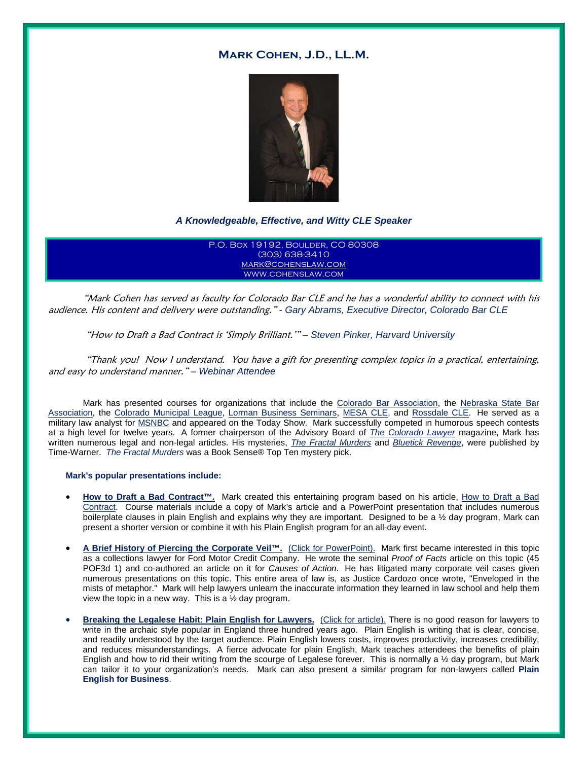# **Mark Cohen, J.D., LL.M.**



## *A Knowledgeable, Effective, and Witty CLE Speaker*

P.O. Box 19192, Boulder, CO 80308 (303) 638-3410 [mark@cohenslaw.com](mailto:mark@cohenslaw.com) www.cohenslaw.com

"Mark Cohen has served as faculty for Colorado Bar CLE and he has a wonderful ability to connect with his audience. His content and delivery were outstanding." *- Gary Abrams, Executive Director, Colorado Bar CLE* 

### "How to Draft a Bad Contract is 'Simply Brilliant.'" *– Steven Pinker, Harvard University*

"Thank you! Now I understand. You have a gift for presenting complex topics in a practical, entertaining, and easy to understand manner." *– Webinar Attendee*

Mark has presented courses for organizations that include the [Colorado Bar Association,](http://www.cobar.org/) the [Nebraska State Bar](http://www.nebar.com/)  [Association,](http://www.nebar.com/) the [Colorado Municipal League,](http://www.cml.org/) [Lorman Business Seminars,](http://www.lorman.com/legal) [MESA CLE,](http://www.mesacle.com/) and [Rossdale CLE.](http://miamilegalresources.com/) He served as a military law analyst for [MSNBC](http://www.msnbc.com/) and appeared on the Today Show. Mark successfully competed in humorous speech contests at a high level for twelve years. A former chairperson of the Advisory Board of *[The Colorado Lawyer](http://www.cobar.org/-em-The-Colorado-Lawyer-em)* magazine, Mark has written numerous legal and non-legal articles. His mysteries, *[The Fractal Murders](https://www.amazon.com/dp/B001E7IDL6/ref=dp-kindle-redirect?_encoding=UTF8&btkr=1)* and *[Bluetick Revenge](https://www.amazon.com/Bluetick-Revenge-Pepper-Keane-Mystery-ebook/dp/B002OFVO7C/ref=pd_sim_351_2?_encoding=UTF8&pd_rd_i=B002OFVO7C&pd_rd_r=RRCX2H05EJPHHY51NFFR&pd_rd_w=RSzr3&pd_rd_wg=MHv8D&psc=1&refRID=RRCX2H05EJPHHY51NFFR)*, were published by Time-Warner. *The Fractal Murders* was a Book Sense® Top Ten mystery pick.

#### **Mark's popular presentations include:**

- **How to Draft a Bad Contract™.** Mark created this entertaining program based on his article, [How to Draft a Bad](http://www.cohenslaw.com/goopages/pages_downloadgallery/download.php?filename=32159.pdf&orig_name=how_to_draft_a_bad_contract_aug_2016.pdf&cdpath=/filearchive/how_to_draft_a_bad_contract_aug_2016.pdf%C2%A0)  [Contract.](http://www.cohenslaw.com/goopages/pages_downloadgallery/download.php?filename=32159.pdf&orig_name=how_to_draft_a_bad_contract_aug_2016.pdf&cdpath=/filearchive/how_to_draft_a_bad_contract_aug_2016.pdf%C2%A0) Course materials include a copy of Mark's article and a PowerPoint presentation that includes numerous boilerplate clauses in plain English and explains why they are important. Designed to be a ½ day program, Mark can present a shorter version or combine it with his Plain English program for an all-day event.
- **[A Brief History of Piercing the Corporate Veil™.](http://www.cohenslaw.com/goopages/pages_downloadgallery/download.php?filename=32388.pptx&orig_name=corp_veil_powerpoint.pptx&cdpath=/filearchive/corp_veil_powerpoint.pptx%C2%A0)** (Click for PowerPoint). Mark first became interested in this topic as a collections lawyer for Ford Motor Credit Company. He wrote the seminal *Proof of Facts* article on this topic (45 POF3d 1) and co-authored an article on it for *Causes of Action*. He has litigated many corporate veil cases given numerous presentations on this topic. This entire area of law is, as Justice Cardozo once wrote, "Enveloped in the mists of metaphor." Mark will help lawyers unlearn the inaccurate information they learned in law school and help them view the topic in a new way. This is a  $\frac{1}{2}$  day program.
- **Breaking the Legalese Habit: Plain English for Lawyers.** [\(Click for article\).](http://www.cohenslaw.com/goopages/pages_downloadgallery/download.php?filename=22706.pdf&orig_name=plain_english_pdf.pdf&cdpath=/plain_english_pdf.pdf ) There is no good reason for lawyers to write in the archaic style popular in England three hundred years ago. Plain English is writing that is clear, concise, and readily understood by the target audience. Plain English lowers costs, improves productivity, increases credibility, and reduces misunderstandings. A fierce advocate for plain English, Mark teaches attendees the benefits of plain English and how to rid their writing from the scourge of Legalese forever. This is normally a 1/2 day program, but Mark can tailor it to your organization's needs. Mark can also present a similar program for non-lawyers called **Plain English for Business**.